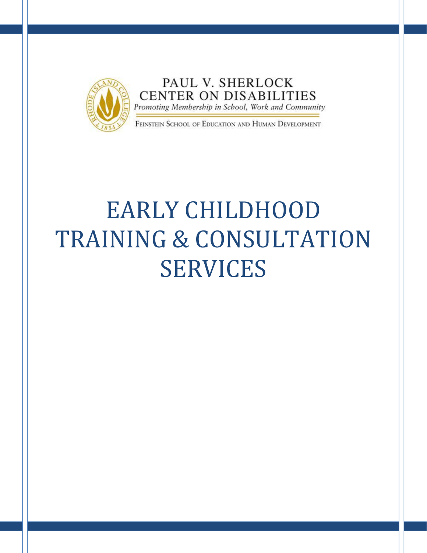

PAUL V. SHERLOCK **CENTER ON DISABILITIES** Promoting Membership in School, Work and Community

FEINSTEIN SCHOOL OF EDUCATION AND HUMAN DEVELOPMENT

## EARLY CHILDHOOD TRAINING & CONSULTATION SERVICES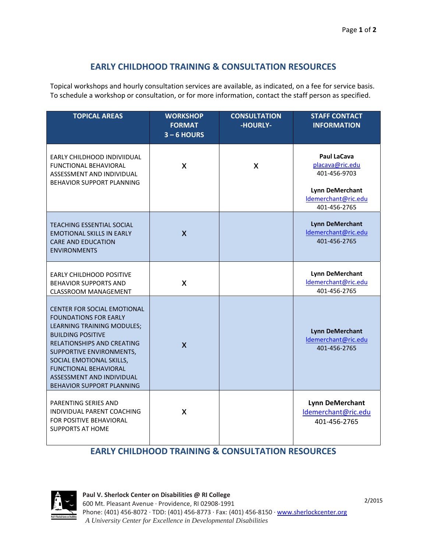## **EARLY CHILDHOOD TRAINING & CONSULTATION RESOURCES**

 Topical workshops and hourly consultation services are available, as indicated, on a fee for service basis. To schedule a workshop or consultation, or for more information, contact the staff person as specified.

| <b>TOPICAL AREAS</b>                                                                                                                                                                                                                                                                                                | <b>WORKSHOP</b><br><b>FORMAT</b><br>$3 - 6$ HOURS | <b>CONSULTATION</b><br>-HOURLY- | <b>STAFF CONTACT</b><br><b>INFORMATION</b>                                                                      |
|---------------------------------------------------------------------------------------------------------------------------------------------------------------------------------------------------------------------------------------------------------------------------------------------------------------------|---------------------------------------------------|---------------------------------|-----------------------------------------------------------------------------------------------------------------|
| EARLY CHILDHOOD INDIVIIDUAL<br><b>FUNCTIONAL BEHAVIORAL</b><br>ASSESSMENT AND INDIVIDUAL<br><b>BEHAVIOR SUPPORT PLANNING</b>                                                                                                                                                                                        | X                                                 | X                               | Paul LaCava<br>placava@ric.edu<br>401-456-9703<br><b>Lynn DeMerchant</b><br>Idemerchant@ric.edu<br>401-456-2765 |
| <b>TEACHING ESSENTIAL SOCIAL</b><br><b>EMOTIONAL SKILLS IN EARLY</b><br><b>CARE AND EDUCATION</b><br><b>ENVIRONMENTS</b>                                                                                                                                                                                            | $\mathsf{X}$                                      |                                 | <b>Lynn DeMerchant</b><br>Idemerchant@ric.edu<br>401-456-2765                                                   |
| <b>EARLY CHILDHOOD POSITIVE</b><br><b>BEHAVIOR SUPPORTS AND</b><br><b>CLASSROOM MANAGEMENT</b>                                                                                                                                                                                                                      | X                                                 |                                 | <b>Lynn DeMerchant</b><br>Idemerchant@ric.edu<br>401-456-2765                                                   |
| <b>CENTER FOR SOCIAL EMOTIONAL</b><br><b>FOUNDATIONS FOR EARLY</b><br>LEARNING TRAINING MODULES;<br><b>BUILDING POSITIVE</b><br><b>RELATIONSHIPS AND CREATING</b><br>SUPPORTIVE ENVIRONMENTS,<br>SOCIAL EMOTIONAL SKILLS,<br><b>FUNCTIONAL BEHAVIORAL</b><br>ASSESSMENT AND INDIVIDUAL<br>BEHAVIOR SUPPORT PLANNING | $\mathsf{x}$                                      |                                 | <b>Lynn DeMerchant</b><br>Idemerchant@ric.edu<br>401-456-2765                                                   |
| PARENTING SERIES AND<br>INDIVIDUAL PARENT COACHING<br>FOR POSITIVE BEHAVIORAL<br><b>SUPPORTS AT HOME</b>                                                                                                                                                                                                            | X                                                 |                                 | <b>Lynn DeMerchant</b><br>Idemerchant@ric.edu<br>401-456-2765                                                   |

## **EARLY CHILDHOOD TRAINING & CONSULTATION RESOURCES**



2/2015